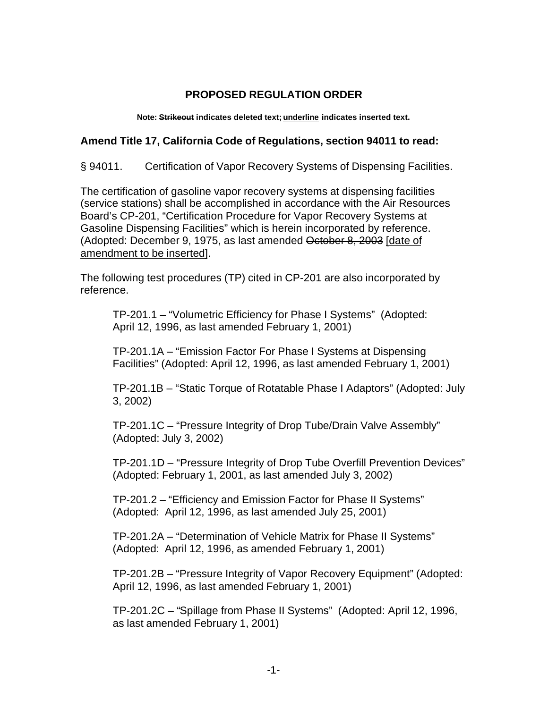## **PROPOSED REGULATION ORDER**

**Note: Strikeout indicates deleted text; underline indicates inserted text.** 

## **Amend Title 17, California Code of Regulations, section 94011 to read:**

§ 94011. Certification of Vapor Recovery Systems of Dispensing Facilities.

The certification of gasoline vapor recovery systems at dispensing facilities (service stations) shall be accomplished in accordance with the Air Resources Board's CP-201, "Certification Procedure for Vapor Recovery Systems at Gasoline Dispensing Facilities" which is herein incorporated by reference. (Adopted: December 9, 1975, as last amended October 8, 2003 [date of amendment to be inserted].

The following test procedures (TP) cited in CP-201 are also incorporated by reference.

TP-201.1 – "Volumetric Efficiency for Phase I Systems" (Adopted: April 12, 1996, as last amended February 1, 2001)

[TP-201.1A](https://TP-201.1A) – "Emission Factor For Phase I Systems at Dispensing Facilities" (Adopted: April 12, 1996, as last amended February 1, 2001)

[TP-201.1B](https://TP-201.1B) – "Static Torque of Rotatable Phase I Adaptors" (Adopted: July 3, 2002)

[TP-201.1C](https://TP-201.1C) – "Pressure Integrity of Drop Tube/Drain Valve Assembly" (Adopted: July 3, 2002)

[TP-201.1D](https://TP-201.1D) – "Pressure Integrity of Drop Tube Overfill Prevention Devices" (Adopted: February 1, 2001, as last amended July 3, 2002)

TP-201.2 – "Efficiency and Emission Factor for Phase II Systems" (Adopted: April 12, 1996, as last amended July 25, 2001)

[TP-201.2A](https://TP-201.2A) – "Determination of Vehicle Matrix for Phase II Systems" (Adopted: April 12, 1996, as amended February 1, 2001)

[TP-201.2B](https://TP-201.2B) – "Pressure Integrity of Vapor Recovery Equipment" (Adopted: April 12, 1996, as last amended February 1, 2001)

[TP-201.2C](https://TP-201.2C) – "Spillage from Phase II Systems" (Adopted: April 12, 1996, as last amended February 1, 2001)